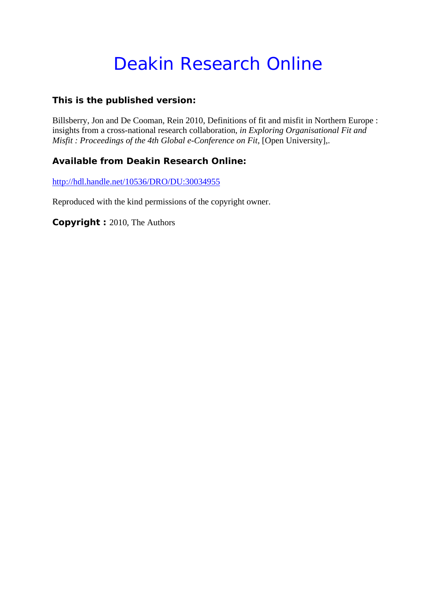# Deakin Research Online

# **This is the published version:**

Billsberry, Jon and De Cooman, Rein 2010, Definitions of fit and misfit in Northern Europe : insights from a cross-national research collaboration*, in Exploring Organisational Fit and Misfit : Proceedings of the 4th Global e-Conference on Fit*, [Open University],.

# **Available from Deakin Research Online:**

http://hdl.handle.net/10536/DRO/DU:30034955

Reproduced with the kind permissions of the copyright owner.

**Copyright :** 2010, The Authors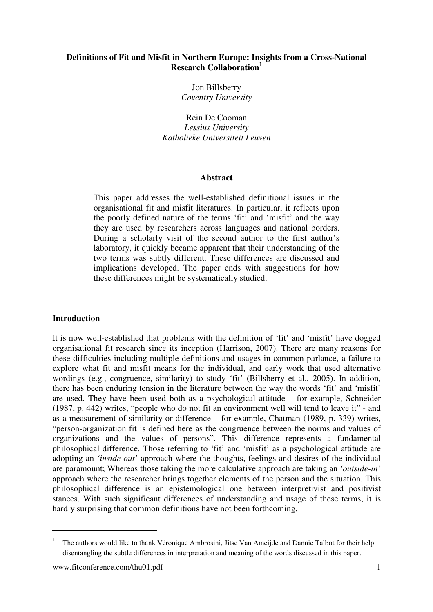## **Definitions of Fit and Misfit in Northern Europe: Insights from a Cross-National Research Collaboration<sup>1</sup>**

Jon Billsberry *Coventry University* 

Rein De Cooman *Lessius University Katholieke Universiteit Leuven* 

#### **Abstract**

This paper addresses the well-established definitional issues in the organisational fit and misfit literatures. In particular, it reflects upon the poorly defined nature of the terms 'fit' and 'misfit' and the way they are used by researchers across languages and national borders. During a scholarly visit of the second author to the first author's laboratory, it quickly became apparent that their understanding of the two terms was subtly different. These differences are discussed and implications developed. The paper ends with suggestions for how these differences might be systematically studied.

#### **Introduction**

It is now well-established that problems with the definition of 'fit' and 'misfit' have dogged organisational fit research since its inception (Harrison, 2007). There are many reasons for these difficulties including multiple definitions and usages in common parlance, a failure to explore what fit and misfit means for the individual, and early work that used alternative wordings (e.g., congruence, similarity) to study 'fit' (Billsberry et al., 2005). In addition, there has been enduring tension in the literature between the way the words 'fit' and 'misfit' are used. They have been used both as a psychological attitude – for example, Schneider (1987, p. 442) writes, "people who do not fit an environment well will tend to leave it" - and as a measurement of similarity or difference – for example, Chatman (1989, p. 339) writes, "person-organization fit is defined here as the congruence between the norms and values of organizations and the values of persons". This difference represents a fundamental philosophical difference. Those referring to 'fit' and 'misfit' as a psychological attitude are adopting an *'inside-out'* approach where the thoughts, feelings and desires of the individual are paramount; Whereas those taking the more calculative approach are taking an *'outside-in'* approach where the researcher brings together elements of the person and the situation. This philosophical difference is an epistemological one between interpretivist and positivist stances. With such significant differences of understanding and usage of these terms, it is hardly surprising that common definitions have not been forthcoming.

l

<sup>&</sup>lt;sup>1</sup> The authors would like to thank Véronique Ambrosini, Jitse Van Ameijde and Dannie Talbot for their help disentangling the subtle differences in interpretation and meaning of the words discussed in this paper.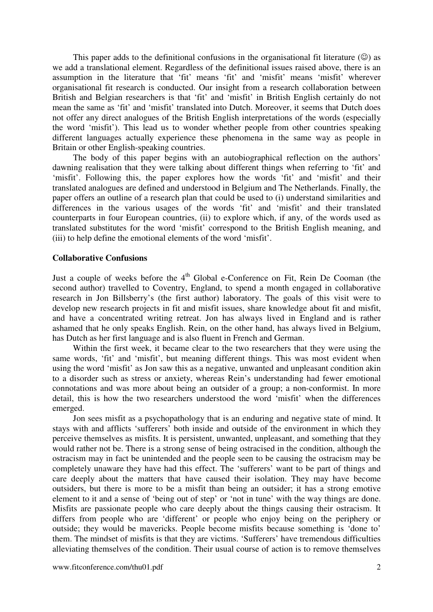This paper adds to the definitional confusions in the organisational fit literature  $(\circledcirc)$  as we add a translational element. Regardless of the definitional issues raised above, there is an assumption in the literature that 'fit' means 'fit' and 'misfit' means 'misfit' wherever organisational fit research is conducted. Our insight from a research collaboration between British and Belgian researchers is that 'fit' and 'misfit' in British English certainly do not mean the same as 'fit' and 'misfit' translated into Dutch. Moreover, it seems that Dutch does not offer any direct analogues of the British English interpretations of the words (especially the word 'misfit'). This lead us to wonder whether people from other countries speaking different languages actually experience these phenomena in the same way as people in Britain or other English-speaking countries.

 The body of this paper begins with an autobiographical reflection on the authors' dawning realisation that they were talking about different things when referring to 'fit' and 'misfit'. Following this, the paper explores how the words 'fit' and 'misfit' and their translated analogues are defined and understood in Belgium and The Netherlands. Finally, the paper offers an outline of a research plan that could be used to (i) understand similarities and differences in the various usages of the words 'fit' and 'misfit' and their translated counterparts in four European countries, (ii) to explore which, if any, of the words used as translated substitutes for the word 'misfit' correspond to the British English meaning, and (iii) to help define the emotional elements of the word 'misfit'.

### **Collaborative Confusions**

Just a couple of weeks before the  $4<sup>th</sup>$  Global e-Conference on Fit, Rein De Cooman (the second author) travelled to Coventry, England, to spend a month engaged in collaborative research in Jon Billsberry's (the first author) laboratory. The goals of this visit were to develop new research projects in fit and misfit issues, share knowledge about fit and misfit, and have a concentrated writing retreat. Jon has always lived in England and is rather ashamed that he only speaks English. Rein, on the other hand, has always lived in Belgium, has Dutch as her first language and is also fluent in French and German.

Within the first week, it became clear to the two researchers that they were using the same words, 'fit' and 'misfit', but meaning different things. This was most evident when using the word 'misfit' as Jon saw this as a negative, unwanted and unpleasant condition akin to a disorder such as stress or anxiety, whereas Rein's understanding had fewer emotional connotations and was more about being an outsider of a group; a non-conformist. In more detail, this is how the two researchers understood the word 'misfit' when the differences emerged.

Jon sees misfit as a psychopathology that is an enduring and negative state of mind. It stays with and afflicts 'sufferers' both inside and outside of the environment in which they perceive themselves as misfits. It is persistent, unwanted, unpleasant, and something that they would rather not be. There is a strong sense of being ostracised in the condition, although the ostracism may in fact be unintended and the people seen to be causing the ostracism may be completely unaware they have had this effect. The 'sufferers' want to be part of things and care deeply about the matters that have caused their isolation. They may have become outsiders, but there is more to be a misfit than being an outsider; it has a strong emotive element to it and a sense of 'being out of step' or 'not in tune' with the way things are done. Misfits are passionate people who care deeply about the things causing their ostracism. It differs from people who are 'different' or people who enjoy being on the periphery or outside; they would be mavericks. People become misfits because something is 'done to' them. The mindset of misfits is that they are victims. 'Sufferers' have tremendous difficulties alleviating themselves of the condition. Their usual course of action is to remove themselves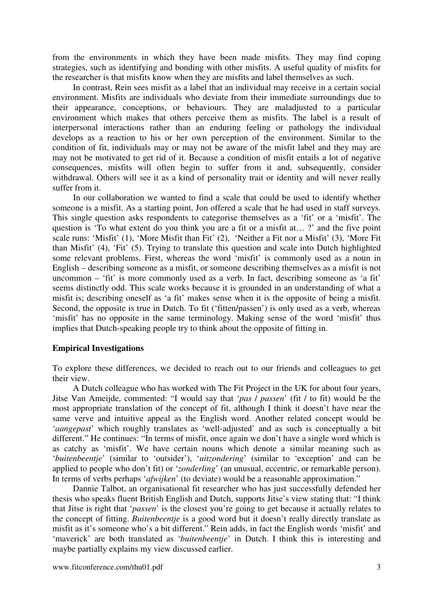from the environments in which they have been made misfits. They may find coping strategies, such as identifying and bonding with other misfits. A useful quality of misfits for the researcher is that misfits know when they are misfits and label themselves as such.

In contrast, Rein sees misfit as a label that an individual may receive in a certain social environment. Misfits are individuals who deviate from their immediate surroundings due to their appearance, conceptions, or behaviours. They are maladjusted to a particular environment which makes that others perceive them as misfits. The label is a result of interpersonal interactions rather than an enduring feeling or pathology the individual develops as a reaction to his or her own perception of the environment. Similar to the condition of fit, individuals may or may not be aware of the misfit label and they may are may not be motivated to get rid of it. Because a condition of misfit entails a lot of negative consequences, misfits will often begin to suffer from it and, subsequently, consider withdrawal. Others will see it as a kind of personality trait or identity and will never really suffer from it.

 In our collaboration we wanted to find a scale that could be used to identify whether someone is a misfit. As a starting point, Jon offered a scale that he had used in staff surveys. This single question asks respondents to categorise themselves as a 'fit' or a 'misfit'. The question is 'To what extent do you think you are a fit or a misfit at...?' and the five point scale runs: 'Misfit' (1), 'More Misfit than Fit' (2), 'Neither a Fit nor a Misfit' (3), 'More Fit than Misfit' (4), 'Fit' (5). Trying to translate this question and scale into Dutch highlighted some relevant problems. First, whereas the word 'misfit' is commonly used as a noun in English – describing someone as a misfit, or someone describing themselves as a misfit is not uncommon – 'fit' is more commonly used as a verb. In fact, describing someone as 'a fit' seems distinctly odd. This scale works because it is grounded in an understanding of what a misfit is; describing oneself as 'a fit' makes sense when it is the opposite of being a misfit. Second, the opposite is true in Dutch. To fit ('fitten/passen') is only used as a verb, whereas 'misfit' has no opposite in the same terminology. Making sense of the word 'misfit' thus implies that Dutch-speaking people try to think about the opposite of fitting in.

#### **Empirical Investigations**

To explore these differences, we decided to reach out to our friends and colleagues to get their view.

A Dutch colleague who has worked with The Fit Project in the UK for about four years, Jitse Van Ameijde, commented: "I would say that '*pas* / *passen*' (fit / to fit) would be the most appropriate translation of the concept of fit, although I think it doesn't have near the same verve and intuitive appeal as the English word. Another related concept would be '*aangepast*' which roughly translates as 'well-adjusted' and as such is conceptually a bit different." He continues: "In terms of misfit, once again we don't have a single word which is as catchy as 'misfit'. We have certain nouns which denote a similar meaning such as '*buitenbeentje*' (similar to 'outsider'), '*uitzondering*' (similar to 'exception' and can be applied to people who don't fit) or '*zonderling*' (an unusual, eccentric, or remarkable person). In terms of verbs perhaps '*afwijken*' (to deviate) would be a reasonable approximation."

Dannie Talbot, an organisational fit researcher who has just successfully defended her thesis who speaks fluent British English and Dutch, supports Jitse's view stating that: "I think that Jitse is right that '*passen*' is the closest you're going to get because it actually relates to the concept of fitting. *Buitenbeentje* is a good word but it doesn't really directly translate as misfit as it's someone who's a bit different." Rein adds, in fact the English words 'misfit' and 'maverick' are both translated as '*buitenbeentje*' in Dutch. I think this is interesting and maybe partially explains my view discussed earlier.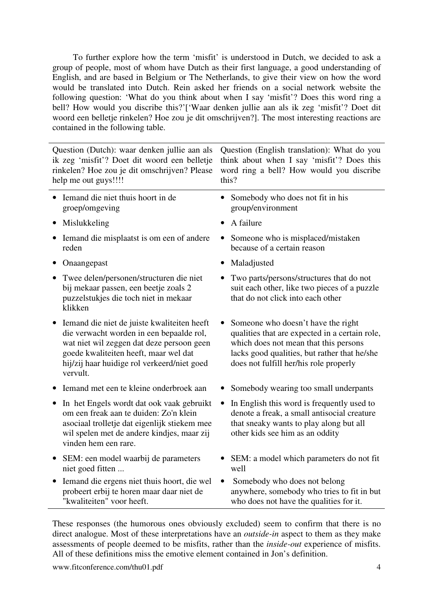To further explore how the term 'misfit' is understood in Dutch, we decided to ask a group of people, most of whom have Dutch as their first language, a good understanding of English, and are based in Belgium or The Netherlands, to give their view on how the word would be translated into Dutch. Rein asked her friends on a social network website the following question: 'What do you think about when I say 'misfit'? Does this word ring a bell? How would you discribe this?'['Waar denken jullie aan als ik zeg 'misfit'? Doet dit woord een belletje rinkelen? Hoe zou je dit omschrijven?]. The most interesting reactions are contained in the following table.

Question (Dutch): waar denken jullie aan als ik zeg 'misfit'? Doet dit woord een belletje rinkelen? Hoe zou je dit omschrijven? Please help me out guys!!!!

- Iemand die niet thuis hoort in de groep/omgeving
- Mislukkeling A failure
- Iemand die misplaatst is om een of andere reden
- Onaangepast Maladjusted
- Twee delen/personen/structuren die niet bij mekaar passen, een beetje zoals 2 puzzelstukjes die toch niet in mekaar klikken
- Iemand die niet de juiste kwaliteiten heeft die verwacht worden in een bepaalde rol, wat niet wil zeggen dat deze persoon geen goede kwaliteiten heeft, maar wel dat hij/zij haar huidige rol verkeerd/niet goed vervult.
- Iemand met een te kleine onderbroek aan Somebody wearing too small underpants
- In het Engels wordt dat ook vaak gebruikt om een freak aan te duiden: Zo'n klein asociaal trolletje dat eigenlijk stiekem mee wil spelen met de andere kindjes, maar zij vinden hem een rare.
- SEM: een model waarbij de parameters niet goed fitten ...
- Iemand die ergens niet thuis hoort, die wel probeert erbij te horen maar daar niet de "kwaliteiten" voor heeft.

• Somebody who does not fit in his group/environment

Question (English translation): What do you think about when I say 'misfit'? Does this word ring a bell? How would you discribe

this?

- Someone who is misplaced/mistaken because of a certain reason
- 
- Two parts/persons/structures that do not suit each other, like two pieces of a puzzle that do not click into each other
- Someone who doesn't have the right qualities that are expected in a certain role, which does not mean that this persons lacks good qualities, but rather that he/she does not fulfill her/his role properly
- 
- In English this word is frequently used to denote a freak, a small antisocial creature that sneaky wants to play along but all other kids see him as an oddity
- SEM: a model which parameters do not fit well
- Somebody who does not belong anywhere, somebody who tries to fit in but who does not have the qualities for it.

These responses (the humorous ones obviously excluded) seem to confirm that there is no direct analogue. Most of these interpretations have an *outside-in* aspect to them as they make assessments of people deemed to be misfits, rather than the *inside-out* experience of misfits. All of these definitions miss the emotive element contained in Jon's definition.

www.fitconference.com/thu01.pdf 4